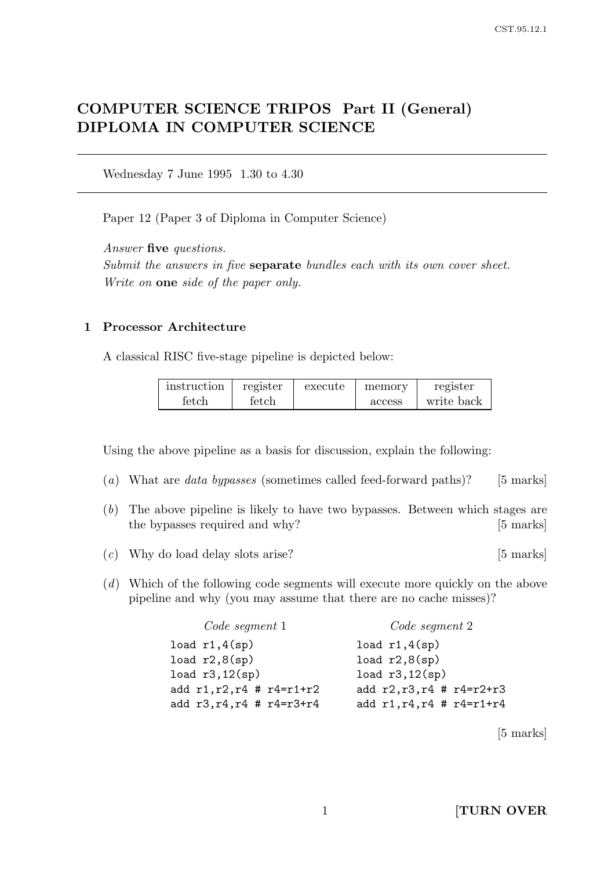# COMPUTER SCIENCE TRIPOS Part II (General) DIPLOMA IN COMPUTER SCIENCE

Wednesday 7 June 1995 1.30 to 4.30

Paper 12 (Paper 3 of Diploma in Computer Science)

Answer five questions.

Submit the answers in five **separate** bundles each with its own cover sheet. Write on **one** side of the paper only.

#### 1 Processor Architecture

A classical RISC five-stage pipeline is depicted below:

| instruction    | register | execute | memory | register   |
|----------------|----------|---------|--------|------------|
| $_{\rm fetch}$ | fetch    |         | access | write back |

Using the above pipeline as a basis for discussion, explain the following:

- (a) What are *data bypasses* (sometimes called feed-forward paths)? [5 marks]
- (b) The above pipeline is likely to have two bypasses. Between which stages are the bypasses required and why? [5 marks]
- (c) Why do load delay slots arise? [5 marks]

(d) Which of the following code segments will execute more quickly on the above pipeline and why (you may assume that there are no cache misses)?

| Code segment 1                | Code segment 2                |
|-------------------------------|-------------------------------|
| load r1, 4(sp)                | load $r1,4(sp)$               |
| load r2,8(sp)                 | load $r2,8(sp)$               |
| load r3,12(sp)                | load $r3,12(sp)$              |
| add $r1, r2, r4$ # $r4=r1+r2$ | add $r2, r3, r4$ # $r4=r2+r3$ |
| add r3, r4, r4 # r4=r3+r4     | add $r1, r4, r4$ # $r4=r1+r4$ |
|                               |                               |

[5 marks]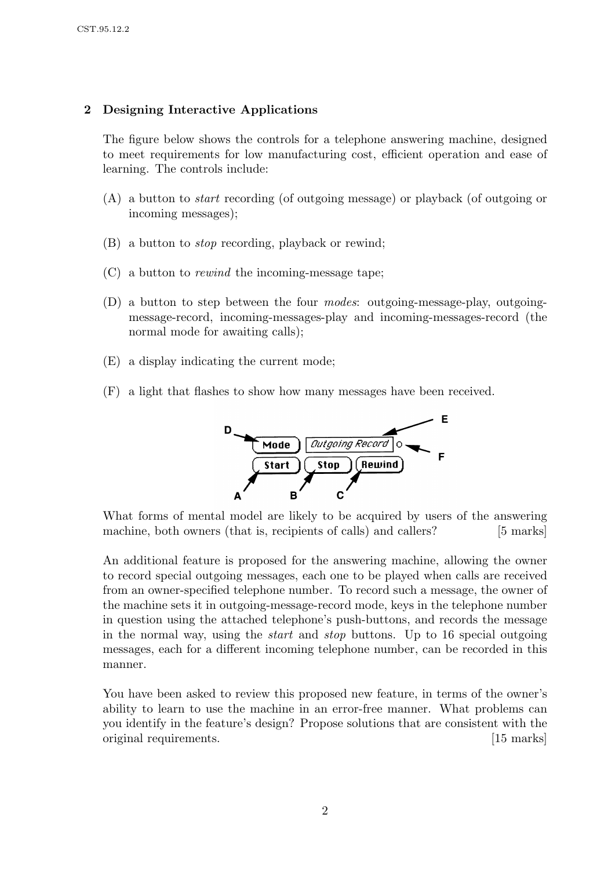## 2 Designing Interactive Applications

The figure below shows the controls for a telephone answering machine, designed to meet requirements for low manufacturing cost, efficient operation and ease of learning. The controls include:

- (A) a button to start recording (of outgoing message) or playback (of outgoing or incoming messages);
- (B) a button to stop recording, playback or rewind;
- (C) a button to rewind the incoming-message tape;
- (D) a button to step between the four modes: outgoing-message-play, outgoingmessage-record, incoming-messages-play and incoming-messages-record (the normal mode for awaiting calls);
- (E) a display indicating the current mode;
- (F) a light that flashes to show how many messages have been received.



What forms of mental model are likely to be acquired by users of the answering machine, both owners (that is, recipients of calls) and callers? [5 marks]

An additional feature is proposed for the answering machine, allowing the owner to record special outgoing messages, each one to be played when calls are received from an owner-specified telephone number. To record such a message, the owner of the machine sets it in outgoing-message-record mode, keys in the telephone number in question using the attached telephone's push-buttons, and records the message in the normal way, using the start and stop buttons. Up to 16 special outgoing messages, each for a different incoming telephone number, can be recorded in this manner.

You have been asked to review this proposed new feature, in terms of the owner's ability to learn to use the machine in an error-free manner. What problems can you identify in the feature's design? Propose solutions that are consistent with the original requirements. [15 marks]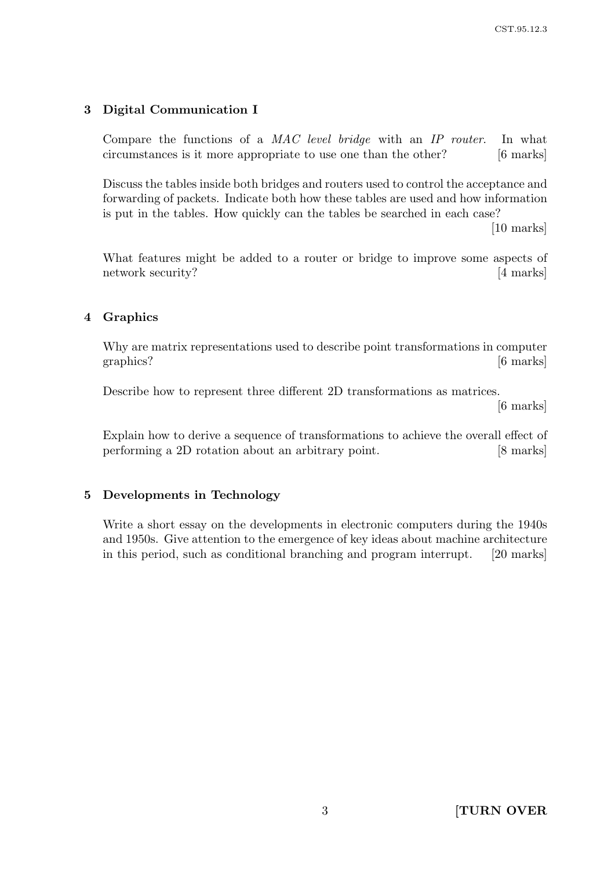## 3 Digital Communication I

Compare the functions of a MAC level bridge with an IP router. In what circumstances is it more appropriate to use one than the other? [6 marks]

Discuss the tables inside both bridges and routers used to control the acceptance and forwarding of packets. Indicate both how these tables are used and how information is put in the tables. How quickly can the tables be searched in each case?

[10 marks]

What features might be added to a router or bridge to improve some aspects of network security? [4 marks]

#### 4 Graphics

Why are matrix representations used to describe point transformations in computer graphics? [6 marks]

Describe how to represent three different 2D transformations as matrices.

[6 marks]

Explain how to derive a sequence of transformations to achieve the overall effect of performing a 2D rotation about an arbitrary point. [8 marks]

## 5 Developments in Technology

Write a short essay on the developments in electronic computers during the 1940s and 1950s. Give attention to the emergence of key ideas about machine architecture in this period, such as conditional branching and program interrupt. [20 marks]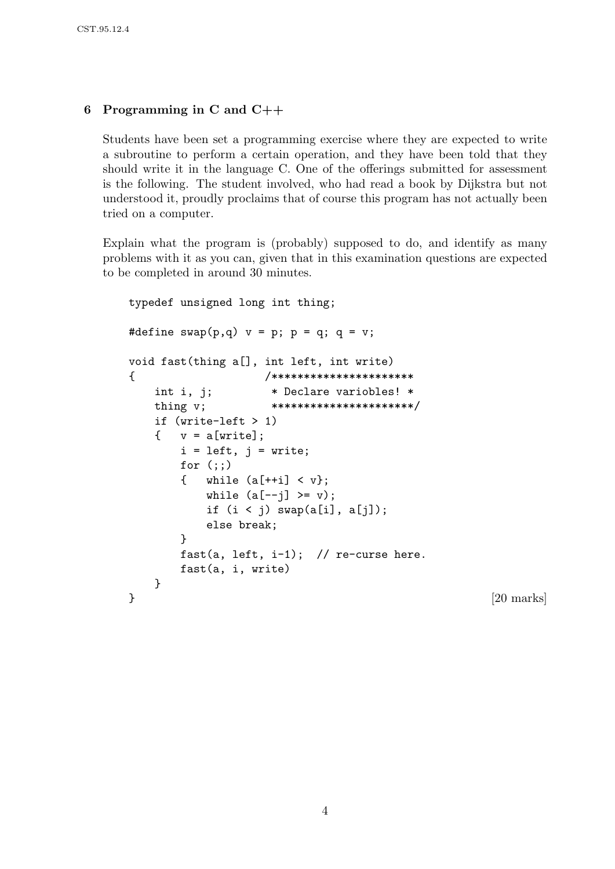## 6 Programming in C and  $C++$

Students have been set a programming exercise where they are expected to write a subroutine to perform a certain operation, and they have been told that they should write it in the language C. One of the offerings submitted for assessment is the following. The student involved, who had read a book by Dijkstra but not understood it, proudly proclaims that of course this program has not actually been tried on a computer.

Explain what the program is (probably) supposed to do, and identify as many problems with it as you can, given that in this examination questions are expected to be completed in around 30 minutes.

```
typedef unsigned long int thing;
#define swap(p,q) v = p; p = q; q = v;
void fast(thing a[], int left, int write)
{ /**********************
   int i, j; * Declare variobles! *
   thing v; **********************/
   if (write-left > 1)
   \{ v = a[write] ;i = left, j = write;for (;;)
      { while (a[++i] < v};
          while (a[--j] \geq v);
          if (i < j) swap(a[i], a[j]);
          else break;
      }
      fast(a, left, i-1); // re-curse here.
      fast(a, i, write)
   }
} [20 marks]
```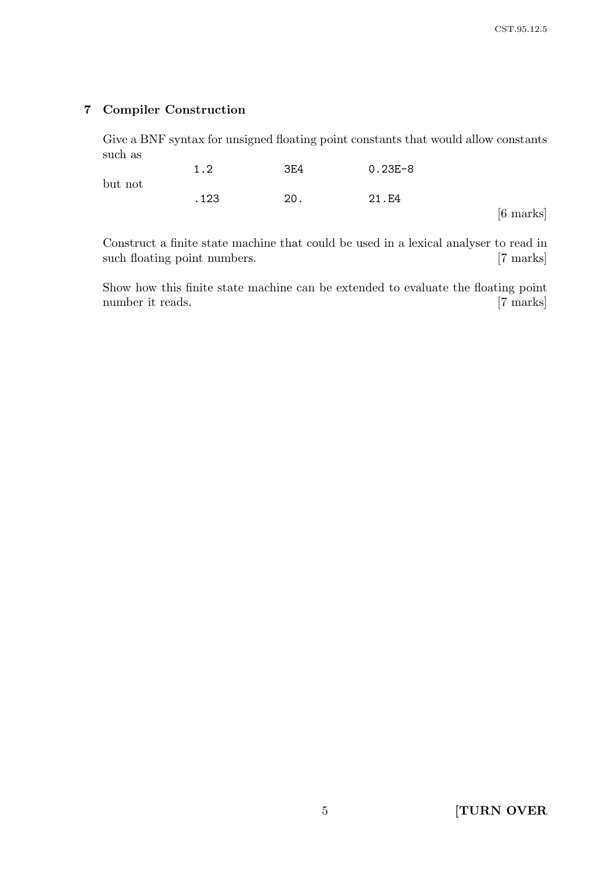## 7 Compiler Construction

Give a BNF syntax for unsigned floating point constants that would allow constants such as

|         | 1.2   | 3E4 | $0.23E - 8$ |                     |
|---------|-------|-----|-------------|---------------------|
| but not |       |     |             |                     |
|         | . 123 | 20. | 21.E4       |                     |
|         |       |     |             | $[6 \text{ marks}]$ |

Construct a finite state machine that could be used in a lexical analyser to read in such floating point numbers. [7 marks]

Show how this finite state machine can be extended to evaluate the floating point number it reads. [7 marks]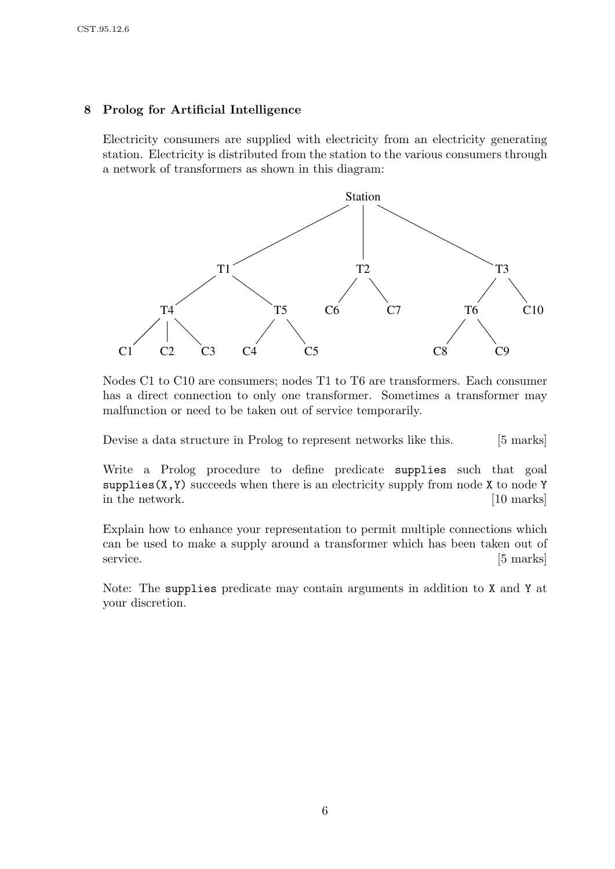## 8 Prolog for Artificial Intelligence

Electricity consumers are supplied with electricity from an electricity generating station. Electricity is distributed from the station to the various consumers through a network of transformers as shown in this diagram:



Nodes C1 to C10 are consumers; nodes T1 to T6 are transformers. Each consumer has a direct connection to only one transformer. Sometimes a transformer may malfunction or need to be taken out of service temporarily.

Devise a data structure in Prolog to represent networks like this. [5 marks]

Write a Prolog procedure to define predicate supplies such that goal supplies  $(X, Y)$  succeeds when there is an electricity supply from node X to node Y in the network. [10 marks]

Explain how to enhance your representation to permit multiple connections which can be used to make a supply around a transformer which has been taken out of service. [5 marks]

Note: The supplies predicate may contain arguments in addition to X and Y at your discretion.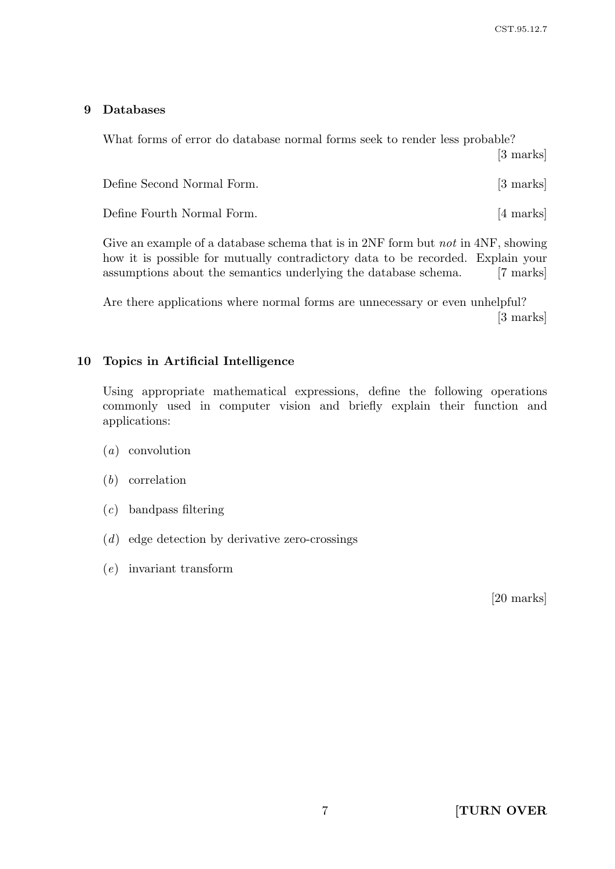CST.95.12.7

#### 9 Databases

What forms of error do database normal forms seek to render less probable?

[3 marks]

| Define Second Normal Form. | [3 marks] |
|----------------------------|-----------|
|                            |           |

Define Fourth Normal Form. [4 marks]

Give an example of a database schema that is in 2NF form but *not* in 4NF, showing how it is possible for mutually contradictory data to be recorded. Explain your assumptions about the semantics underlying the database schema. [7 marks]

Are there applications where normal forms are unnecessary or even unhelpful? [3 marks]

#### 10 Topics in Artificial Intelligence

Using appropriate mathematical expressions, define the following operations commonly used in computer vision and briefly explain their function and applications:

- (a) convolution
- (b) correlation
- (c) bandpass filtering
- (d) edge detection by derivative zero-crossings
- (e) invariant transform

[20 marks]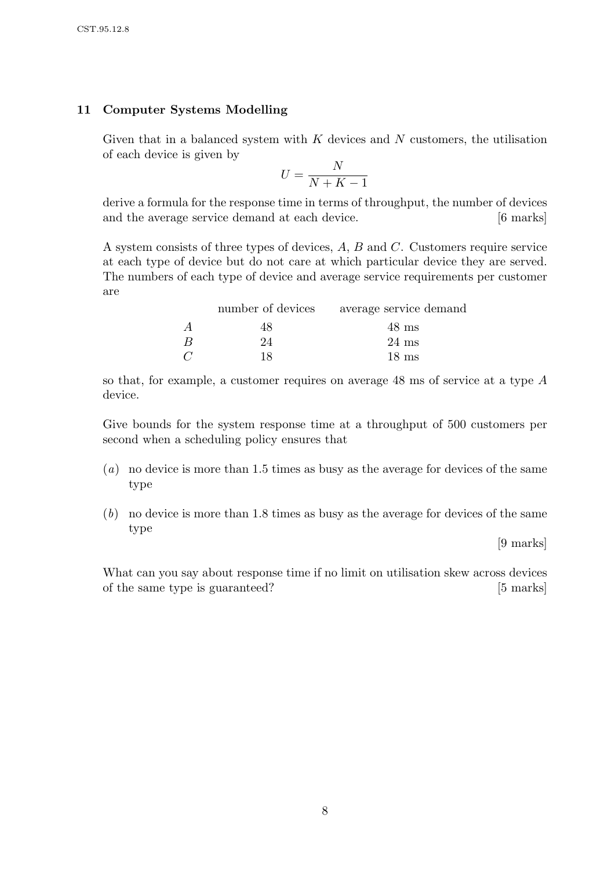## 11 Computer Systems Modelling

Given that in a balanced system with  $K$  devices and  $N$  customers, the utilisation of each device is given by

$$
U = \frac{N}{N + K - 1}
$$

derive a formula for the response time in terms of throughput, the number of devices and the average service demand at each device. [6 marks]

A system consists of three types of devices, A, B and C. Customers require service at each type of device but do not care at which particular device they are served. The numbers of each type of device and average service requirements per customer are

|                | number of devices | average service demand |
|----------------|-------------------|------------------------|
| $\overline{A}$ | 48                | $48 \text{ ms}$        |
| B              | 9.4               | $24 \text{ ms}$        |
| $\mathcal{C}$  | 18                | $18 \text{ ms}$        |

so that, for example, a customer requires on average 48 ms of service at a type A device.

Give bounds for the system response time at a throughput of 500 customers per second when a scheduling policy ensures that

- (a) no device is more than 1.5 times as busy as the average for devices of the same type
- (b) no device is more than 1.8 times as busy as the average for devices of the same type

[9 marks]

What can you say about response time if no limit on utilisation skew across devices of the same type is guaranteed? [5 marks]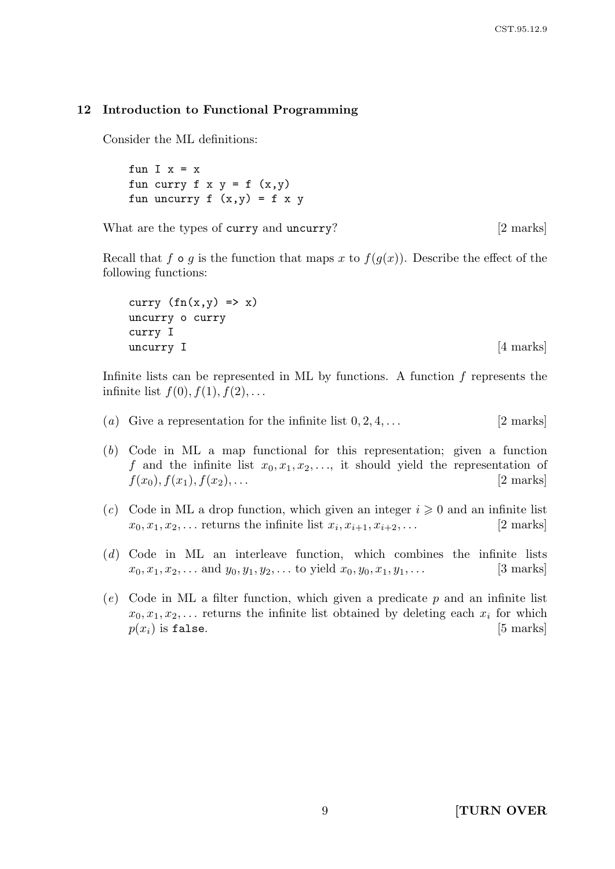#### 12 Introduction to Functional Programming

Consider the ML definitions:

fun  $I x = x$ fun curry  $f \times y = f(x,y)$ fun uncurry  $f(x,y) = f(x, y)$ 

What are the types of curry and uncurry? [2 marks]

Recall that f  $\circ$  g is the function that maps x to  $f(g(x))$ . Describe the effect of the following functions:

```
curry (fn(x,y) \Rightarrow x)uncurry o curry
curry I
uncurry I [4 marks]
```
Infinite lists can be represented in ML by functions. A function  $f$  represents the infinite list  $f(0), f(1), f(2), \ldots$ 

- (a) Give a representation for the infinite list  $0, 2, 4, \ldots$  [2 marks]
- (b) Code in ML a map functional for this representation; given a function f and the infinite list  $x_0, x_1, x_2, \ldots$ , it should yield the representation of  $f(x_0), f(x_1), f(x_2), \ldots$  [2 marks]
- (c) Code in ML a drop function, which given an integer  $i \geq 0$  and an infinite list  $x_0, x_1, x_2, \ldots$  returns the infinite list  $x_i, x_{i+1}, x_{i+2}, \ldots$  [2 marks]
- (d) Code in ML an interleave function, which combines the infinite lists  $x_0, x_1, x_2, \ldots$  and  $y_0, y_1, y_2, \ldots$  to yield  $x_0, y_0, x_1, y_1, \ldots$  [3 marks]
- (e) Code in ML a filter function, which given a predicate  $p$  and an infinite list  $x_0, x_1, x_2, \ldots$  returns the infinite list obtained by deleting each  $x_i$  for which  $p(x_i)$  is false. [5 marks]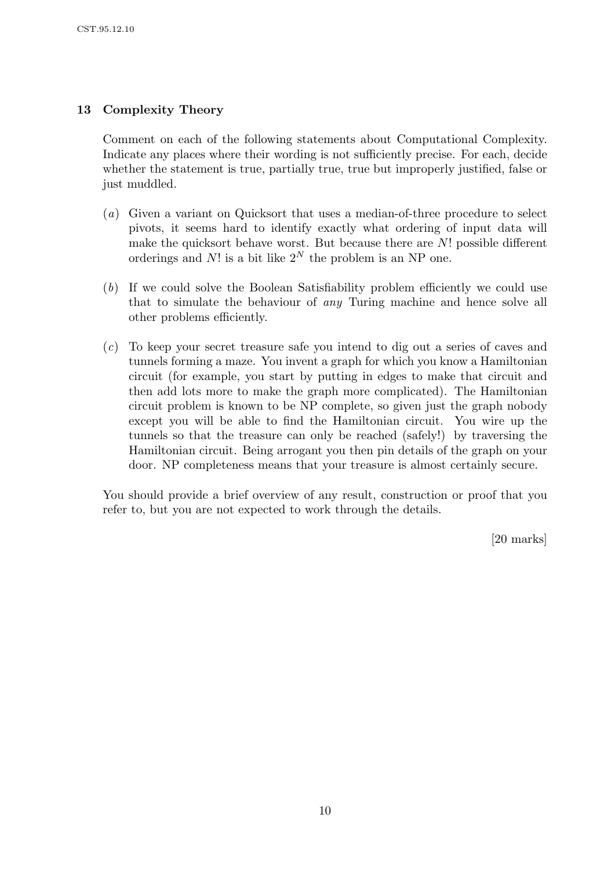## 13 Complexity Theory

Comment on each of the following statements about Computational Complexity. Indicate any places where their wording is not sufficiently precise. For each, decide whether the statement is true, partially true, true but improperly justified, false or just muddled.

- (a) Given a variant on Quicksort that uses a median-of-three procedure to select pivots, it seems hard to identify exactly what ordering of input data will make the quicksort behave worst. But because there are  $N!$  possible different orderings and N! is a bit like  $2^N$  the problem is an NP one.
- (b) If we could solve the Boolean Satisfiability problem efficiently we could use that to simulate the behaviour of any Turing machine and hence solve all other problems efficiently.
- (c) To keep your secret treasure safe you intend to dig out a series of caves and tunnels forming a maze. You invent a graph for which you know a Hamiltonian circuit (for example, you start by putting in edges to make that circuit and then add lots more to make the graph more complicated). The Hamiltonian circuit problem is known to be NP complete, so given just the graph nobody except you will be able to find the Hamiltonian circuit. You wire up the tunnels so that the treasure can only be reached (safely!) by traversing the Hamiltonian circuit. Being arrogant you then pin details of the graph on your door. NP completeness means that your treasure is almost certainly secure.

You should provide a brief overview of any result, construction or proof that you refer to, but you are not expected to work through the details.

[20 marks]